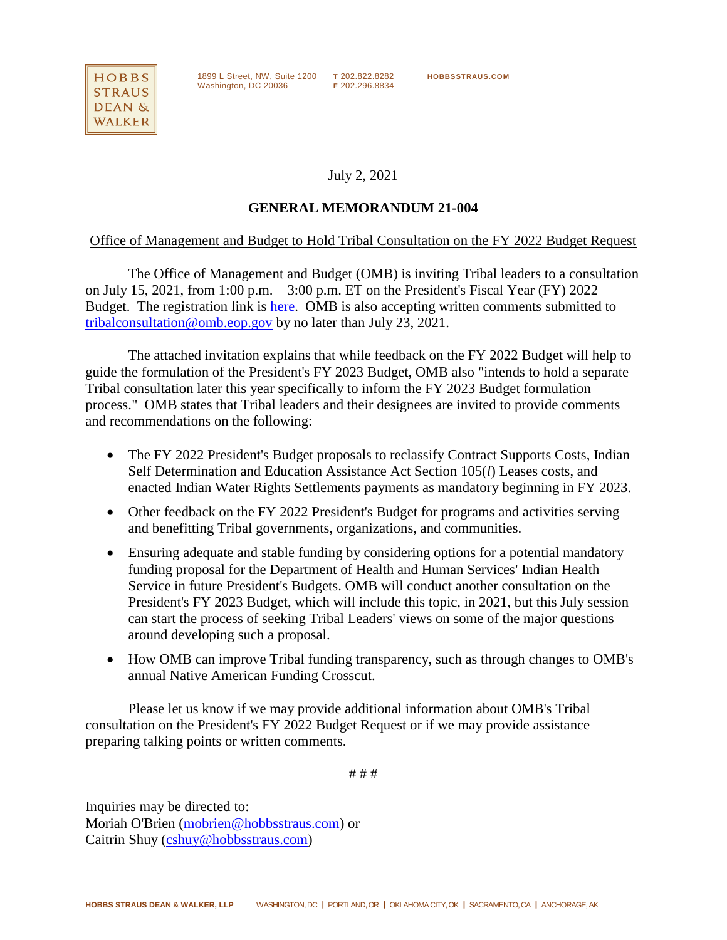

1899 L Street, NW, Suite 1200 **T** 202.822.8282 **HOBBSSTRAUS.COM** Washington, DC 20036 **F** 202.296.8834

July 2, 2021

## **GENERAL MEMORANDUM 21-004**

## Office of Management and Budget to Hold Tribal Consultation on the FY 2022 Budget Request

The Office of Management and Budget (OMB) is inviting Tribal leaders to a consultation on July 15, 2021, from 1:00 p.m. – 3:00 p.m. ET on the President's Fiscal Year (FY) 2022 Budget. The registration link is [here.](https://ems9.intellor.com/?do=register&t=1&p=902398) OMB is also accepting written comments submitted to [tribalconsultation@omb.eop.gov](mailto:tribalconsultation@omb.eop.gov) by no later than July 23, 2021.

The attached invitation explains that while feedback on the FY 2022 Budget will help to guide the formulation of the President's FY 2023 Budget, OMB also "intends to hold a separate Tribal consultation later this year specifically to inform the FY 2023 Budget formulation process." OMB states that Tribal leaders and their designees are invited to provide comments and recommendations on the following:

- The FY 2022 President's Budget proposals to reclassify Contract Supports Costs, Indian Self Determination and Education Assistance Act Section 105(*l*) Leases costs, and enacted Indian Water Rights Settlements payments as mandatory beginning in FY 2023.
- Other feedback on the FY 2022 President's Budget for programs and activities serving and benefitting Tribal governments, organizations, and communities.
- Ensuring adequate and stable funding by considering options for a potential mandatory funding proposal for the Department of Health and Human Services' Indian Health Service in future President's Budgets. OMB will conduct another consultation on the President's FY 2023 Budget, which will include this topic, in 2021, but this July session can start the process of seeking Tribal Leaders' views on some of the major questions around developing such a proposal.
- How OMB can improve Tribal funding transparency, such as through changes to OMB's annual Native American Funding Crosscut.

Please let us know if we may provide additional information about OMB's Tribal consultation on the President's FY 2022 Budget Request or if we may provide assistance preparing talking points or written comments.

# # #

Inquiries may be directed to: Moriah O'Brien [\(mobrien@hobbsstraus.com\)](mailto:mobrien@hobbsstraus.com) or Caitrin Shuy [\(cshuy@hobbsstraus.com\)](mailto:cshuy@hobbsstraus.com)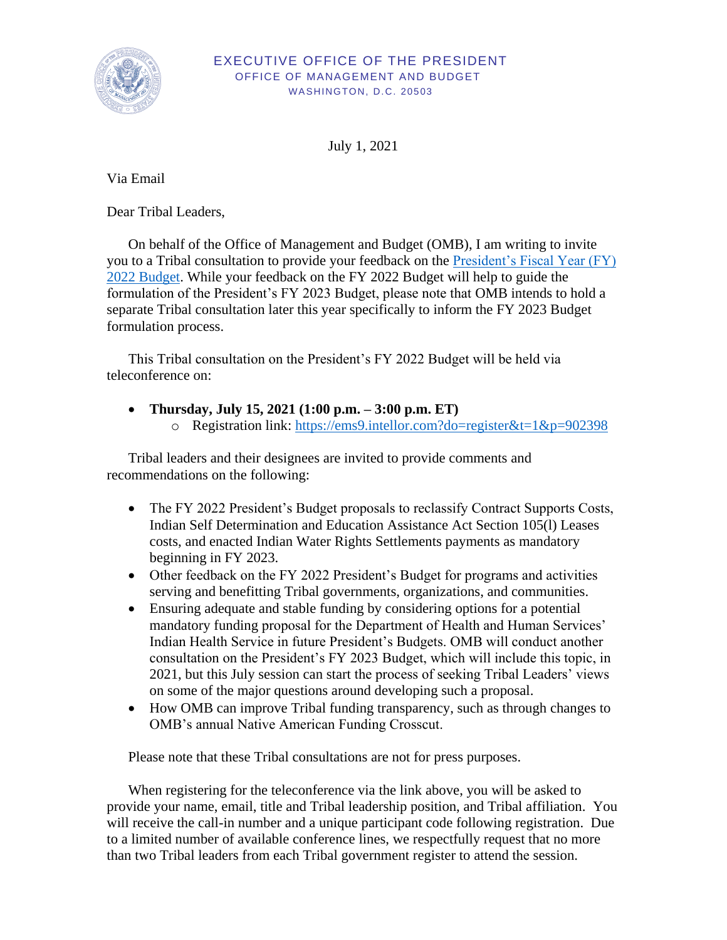

## EXECUTIVE OFFICE OF THE PRESIDENT OFFICE OF MANAGEMENT AND BUDGET WASHINGTON, D.C. 20503

July 1, 2021

Via Email

Dear Tribal Leaders,

On behalf of the Office of Management and Budget (OMB), I am writing to invite you to a Tribal consultation to provide your feedback on the [President's Fiscal Year \(FY\)](https://www.whitehouse.gov/omb/budget/)  [2022 Budget.](https://www.whitehouse.gov/omb/budget/) While your feedback on the FY 2022 Budget will help to guide the formulation of the President's FY 2023 Budget, please note that OMB intends to hold a separate Tribal consultation later this year specifically to inform the FY 2023 Budget formulation process.

This Tribal consultation on the President's FY 2022 Budget will be held via teleconference on:

• **Thursday, July 15, 2021 (1:00 p.m. – 3:00 p.m. ET)** o Registration link: [https://ems9.intellor.com?do=register&t=1&p=902398](https://ems9.intellor.com/?do=register&t=1&p=902398)

Tribal leaders and their designees are invited to provide comments and recommendations on the following:

- The FY 2022 President's Budget proposals to reclassify Contract Supports Costs, Indian Self Determination and Education Assistance Act Section 105(l) Leases costs, and enacted Indian Water Rights Settlements payments as mandatory beginning in FY 2023.
- Other feedback on the FY 2022 President's Budget for programs and activities serving and benefitting Tribal governments, organizations, and communities.
- Ensuring adequate and stable funding by considering options for a potential mandatory funding proposal for the Department of Health and Human Services' Indian Health Service in future President's Budgets. OMB will conduct another consultation on the President's FY 2023 Budget, which will include this topic, in 2021, but this July session can start the process of seeking Tribal Leaders' views on some of the major questions around developing such a proposal.
- How OMB can improve Tribal funding transparency, such as through changes to OMB's annual Native American Funding Crosscut.

Please note that these Tribal consultations are not for press purposes.

When registering for the teleconference via the link above, you will be asked to provide your name, email, title and Tribal leadership position, and Tribal affiliation. You will receive the call-in number and a unique participant code following registration. Due to a limited number of available conference lines, we respectfully request that no more than two Tribal leaders from each Tribal government register to attend the session.